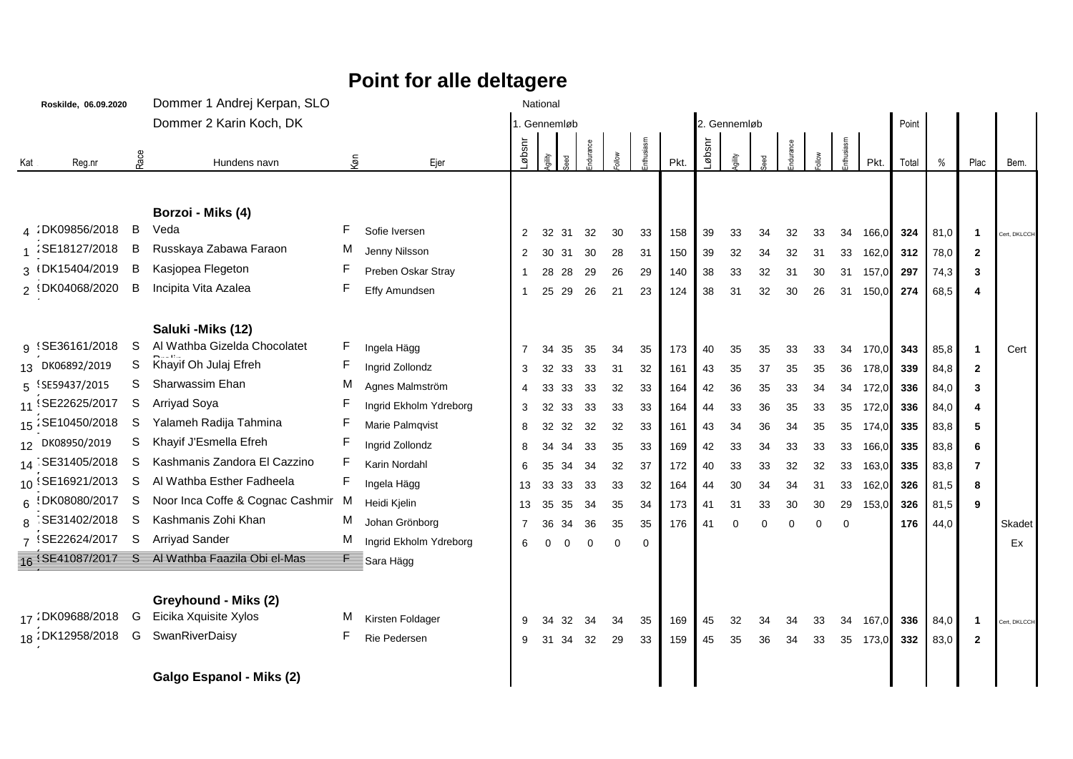## **Point for alle deltagere**

|     | Roskilde, 06.09.2020 |      | Dommer 1 Andrej Kerpan, SLO                    |        |                        |                |        |              | National    |             |          |      |       |              |          |          |          |          |          |       |      |                |              |
|-----|----------------------|------|------------------------------------------------|--------|------------------------|----------------|--------|--------------|-------------|-------------|----------|------|-------|--------------|----------|----------|----------|----------|----------|-------|------|----------------|--------------|
|     |                      |      | Dommer 2 Karin Koch, DK                        |        |                        |                |        | 1. Gennemløb |             |             |          |      |       | 2. Gennemløb |          |          |          |          |          | Point |      |                |              |
| Kat | Reg.nr               | Race | Hundens navn                                   | ĝ      | Ejer                   | nsqø-          | gility |              |             |             | thusiasm | Pkt. | nsqø. |              |          |          |          |          |          | Total | %    | Plac           | Bem.         |
|     |                      |      |                                                |        |                        |                |        |              |             |             |          |      |       |              |          |          |          |          |          |       |      |                |              |
|     |                      |      | Borzoi - Miks (4)                              |        |                        |                |        |              |             |             |          |      |       |              |          |          |          |          |          |       |      |                |              |
|     | 4 DK09856/2018 B     |      | Veda                                           | F      | Sofie Iversen          | 2              | 32     | 31           | 32          | 30          | 33       | 158  | 39    | 33           | 34       | 32       | 33       | 34       | 166,0    | 324   | 81,0 | $\overline{1}$ | Cert, DKLCCH |
|     | 1 SE18127/2018       | B    | Russkaya Zabawa Faraon                         | M      | Jenny Nilsson          | 2              | 30     | 31           | 30          | 28          | 31       | 150  | 39    | 32           | 34       | 32       | 31       | 33       | 162,0    | 312   | 78,0 | $\overline{2}$ |              |
|     | 3 (DK15404/2019)     | B    | Kasjopea Flegeton                              | F      | Preben Oskar Stray     |                | 28     | 28           | 29          | 26          | 29       | 140  | 38    | 33           | 32       | 31       | 30       | 31       | 157,0    | 297   | 74,3 | 3              |              |
|     | 2 1DK04068/2020      | B    | Incipita Vita Azalea                           | F      | Effy Amundsen          | $\mathbf{1}$   | 25     | 29           | 26          | 21          | 23       | 124  | 38    | 31           | 32       | 30       | 26       | 31       | 150,0    | 274   | 68,5 | 4              |              |
|     |                      |      | Saluki - Miks (12)                             |        |                        |                |        |              |             |             |          |      |       |              |          |          |          |          |          |       |      |                |              |
|     | g {SE36161/2018      | S    | Al Wathba Gizelda Chocolatet                   | F      | Ingela Hägg            | 7              | 34     | 35           | 35          | 34          | 35       | 173  | 40    | 35           | 35       | 33       | 33       |          | 34 170,0 | 343   | 85,8 | $\overline{1}$ | Cert         |
|     | 13 DK06892/2019      | S    | Khayif Oh Julaj Efreh                          | F      | Ingrid Zollondz        | 3              | 32     | 33           | 33          | 31          | 32       | 161  | 43    | 35           | 37       | 35       | 35       |          | 36 178,0 | 339   | 84,8 | $\mathbf{2}$   |              |
|     | 5 \SE59437/2015      | S    | Sharwassim Ehan                                | M      | Agnes Malmström        | $\overline{4}$ | 33     | 33           | 33          | 32          | 33       | 164  | 42    | 36           | 35       | 33       | 34       |          | 34 172,0 | 336   | 84,0 | 3              |              |
|     | 11 SE22625/2017      | S    | Arriyad Soya                                   | F      | Ingrid Ekholm Ydreborg |                | 32     | 33           | 33          | 33          | 33       | 164  | 44    | 33           | 36       | 35       | 33       |          | 35 172,0 | 336   | 84,0 | 4              |              |
|     | 15 SE10450/2018      | S    | Yalameh Radija Tahmina                         |        | Marie Palmqvist        | 8              | 32     | 32           | 32          | 32          | 33       | 161  | 43    | 34           | 36       | 34       | 35       |          | 35 174,0 | 335   | 83,8 | 5              |              |
|     | 12 DK08950/2019      | S    | Khayif J'Esmella Efreh                         | F      | Ingrid Zollondz        | 8              | 34     | 34           | 33          | 35          | 33       | 169  | 42    | 33           | 34       | 33       | 33       | 33       | 166,0    | 335   | 83,8 | 6              |              |
|     | 14 SE31405/2018      | S    | Kashmanis Zandora El Cazzino                   | F      | Karin Nordahl          | 6              | 35     | 34           | 34          | 32          | 37       | 172  | 40    | 33           | 33       | 32       | 32       | 33       | 163,0    | 335   | 83,8 | 7              |              |
|     | 10 SE16921/2013      | S    | Al Wathba Esther Fadheela                      | F      | Ingela Hägg            | 13             |        | 33 33        | 33          | 33          | 32       | 164  | 44    | 30           | 34       | 34       | 31       | 33       | 162,0    | 326   | 81,5 | 8              |              |
|     | 6 1DK08080/2017      | S.   | Noor Inca Coffe & Cognac Cashmir               | M      | Heidi Kjelin           | 13             | 35     | 35           | 34          | 35          | 34       | 173  | 41    | 31           | 33       | 30       | 30       | 29       | 153,0    | 326   | 81,5 | 9              |              |
|     | 8 SE31402/2018       | -S   | Kashmanis Zohi Khan                            | м      | Johan Grönborg         | 7              | 36     | 34           | 36          | 35          | 35       | 176  | 41    | $\Omega$     | $\Omega$ | $\Omega$ | $\Omega$ | $\Omega$ |          | 176   | 44,0 |                | Skadet       |
|     | 7 (SE22624/2017      | -S   | <b>Arriyad Sander</b>                          | М      | Ingrid Ekholm Ydreborg | 6              | 0      | $\mathbf 0$  | $\mathbf 0$ | $\mathbf 0$ | 0        |      |       |              |          |          |          |          |          |       |      |                | Ex           |
|     |                      |      | 16 SE41087/2017 S Al Wathba Faazila Obi el-Mas | E      | ≣Sara Hägg             |                |        |              |             |             |          |      |       |              |          |          |          |          |          |       |      |                |              |
|     |                      |      |                                                |        |                        |                |        |              |             |             |          |      |       |              |          |          |          |          |          |       |      |                |              |
|     | 17:DK09688/2018      | G    | Greyhound - Miks (2)<br>Eicika Xquisite Xylos  |        |                        |                |        |              |             |             |          |      |       |              |          |          |          |          |          |       |      |                |              |
|     | 18:DK12958/2018      | G    | SwanRiverDaisy                                 | M<br>F | Kirsten Foldager       | 9              | 34     | 32           | 34          | 34          | 35       | 169  | 45    | 32           | 34       | 34       | 33       | 34       | 167,0    | 336   | 84,0 | $\mathbf 1$    | Cert, DKLCCH |
|     |                      |      |                                                |        | Rie Pedersen           | 9              | 31     | 34           | 32          | 29          | 33       | 159  | 45    | 35           | 36       | 34       | 33       |          | 35 173,0 | 332   | 83,0 | $\overline{2}$ |              |
|     |                      |      | Galgo Espanol - Miks (2)                       |        |                        |                |        |              |             |             |          |      |       |              |          |          |          |          |          |       |      |                |              |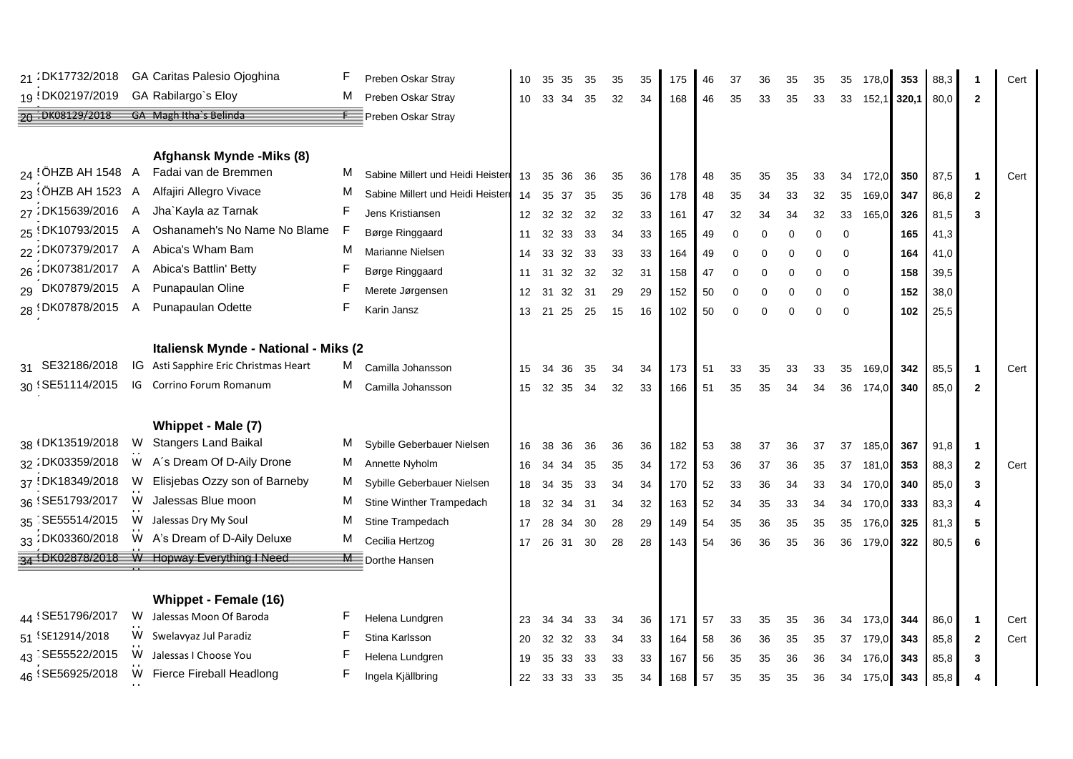| 21:DK17732/2018      |   | GA Caritas Palesio Ojoghina                 |   | Preben Oskar Stray               | 10               | 35 | 35    | 35 | 35 | 35 | 175 | 46 | 37          | 36       | 35       | 35       | 35          | 178,0 | 353   | 88,3 |                | Cert |
|----------------------|---|---------------------------------------------|---|----------------------------------|------------------|----|-------|----|----|----|-----|----|-------------|----------|----------|----------|-------------|-------|-------|------|----------------|------|
| 19 DK02197/2019      |   | GA Rabilargo's Eloy                         | M | Preben Oskar Stray               | 10               |    | 33 34 | 35 | 32 | 34 | 168 | 46 | 35          | 33       | 35       | 33       | 33          | 152,1 | 320,1 | 80,0 | $\overline{2}$ |      |
| 20 DK08129/2018      |   | GA Magh Itha's Belinda                      | E | Preben Oskar Stray               |                  |    |       |    |    |    |     |    |             |          |          |          |             |       |       |      |                |      |
|                      |   |                                             |   |                                  |                  |    |       |    |    |    |     |    |             |          |          |          |             |       |       |      |                |      |
|                      |   | Afghansk Mynde - Miks (8)                   |   |                                  |                  |    |       |    |    |    |     |    |             |          |          |          |             |       |       |      |                |      |
| $24$ (OHZB AH 1548 A |   | Fadai van de Bremmen                        | м | Sabine Millert und Heidi Heister | 13               | 35 | 36    | 36 | 35 | 36 | 178 | 48 | 35          | 35       | 35       | 33       | 34          | 172,0 | 350   | 87,5 | $\mathbf 1$    | Cert |
| $23$ (OHZB AH 1523 A |   | Alfajiri Allegro Vivace                     | М | Sabine Millert und Heidi Heister | 14               | 35 | 37    | 35 | 35 | 36 | 178 | 48 | 35          | 34       | 33       | 32       | 35          | 169,0 | 347   | 86,8 | $\mathbf{2}$   |      |
| 27:DK15639/2016 A    |   | Jha`Kayla az Tarnak                         | F | Jens Kristiansen                 | 12 <sup>12</sup> | 32 | 32    | 32 | 32 | 33 | 161 | 47 | 32          | 34       | 34       | 32       | 33          | 165,0 | 326   | 81,5 | 3              |      |
| 25 {DK10793/2015 A   |   | Oshanameh's No Name No Blame                |   | Børge Ringgaard                  | 11               | 32 | 33    | 33 | 34 | 33 | 165 | 49 | $\mathbf 0$ | 0        | 0        | 0        | $\mathbf 0$ |       | 165   | 41,3 |                |      |
| 22:DK07379/2017 A    |   | Abica's Wham Bam                            | м | Marianne Nielsen                 | 14               | 33 | 32    | 33 | 33 | 33 | 164 | 49 | $\Omega$    | 0        | 0        | 0        | 0           |       | 164   | 41,0 |                |      |
| 26 DK07381/2017 A    |   | Abica's Battlin' Betty                      |   | Børge Ringgaard                  | 11               | 31 | 32    | 32 | 32 | 31 | 158 | 47 | $\Omega$    | 0        | $\Omega$ | 0        | $\Omega$    |       | 158   | 39,5 |                |      |
| 29 DK07879/2015 A    |   | Punapaulan Oline                            |   | Merete Jørgensen                 | 12               | 31 | 32    | 31 | 29 | 29 | 152 | 50 | $\mathbf 0$ | 0        | 0        | $\Omega$ | $\Omega$    |       | 152   | 38,0 |                |      |
| 28 DK07878/2015      | A | Punapaulan Odette                           | F | Karin Jansz                      | 13               |    | 21 25 | 25 | 15 | 16 | 102 | 50 | $\Omega$    | $\Omega$ | $\Omega$ | $\Omega$ | $\Omega$    |       | 102   | 25,5 |                |      |
|                      |   |                                             |   |                                  |                  |    |       |    |    |    |     |    |             |          |          |          |             |       |       |      |                |      |
|                      |   | Italiensk Mynde - National - Miks (2        |   |                                  |                  |    |       |    |    |    |     |    |             |          |          |          |             |       |       |      |                |      |
| 31 SE32186/2018      |   | IG Asti Sapphire Eric Christmas Heart       | M | Camilla Johansson                | 15               | 34 | 36    | 35 | 34 | 34 | 173 | 51 | 33          | 35       | 33       | 33       | 35          | 169,0 | 342   | 85,5 | $\mathbf{1}$   | Cert |
| 30 SE51114/2015      |   | IG Corrino Forum Romanum                    | М | Camilla Johansson                | 15               |    | 32 35 | 34 | 32 | 33 | 166 | 51 | 35          | 35       | 34       | 34       | 36          | 174,0 | 340   | 85,0 | $\mathbf{2}$   |      |
|                      |   |                                             |   |                                  |                  |    |       |    |    |    |     |    |             |          |          |          |             |       |       |      |                |      |
|                      |   | Whippet - Male (7)                          |   |                                  |                  |    |       |    |    |    |     |    |             |          |          |          |             |       |       |      |                |      |
| 38 (DK13519/2018)    | W | <b>Stangers Land Baikal</b>                 | М | Sybille Geberbauer Nielsen       | 16               | 38 | 36    | 36 | 36 | 36 | 182 | 53 | 38          | 37       | 36       | 37       | 37          | 185,0 | 367   | 91,8 | $\mathbf{1}$   |      |
| 32:DK03359/2018      | W | A's Dream Of D-Aily Drone                   | M | Annette Nyholm                   | 16               | 34 | 34    | 35 | 35 | 34 | 172 | 53 | 36          | 37       | 36       | 35       | 37          | 181,0 | 353   | 88,3 | $\mathbf{2}$   | Cert |
| 37 !DK18349/2018     | W | Elisjebas Ozzy son of Barneby               | M | Sybille Geberbauer Nielsen       | 18               | 34 | 35    | 33 | 34 | 34 | 170 | 52 | 33          | 36       | 34       | 33       | 34          | 170,0 | 340   | 85,0 | 3              |      |
| 36 SE51793/2017      | W | Jalessas Blue moon                          | М | Stine Winther Trampedach         | 18               | 32 | 34    | 31 | 34 | 32 | 163 | 52 | 34          | 35       | 33       | 34       | 34          | 170,0 | 333   | 83,3 | 4              |      |
| 35 SE55514/2015      | W | Jalessas Dry My Soul                        | М | Stine Trampedach                 | 17               | 28 | 34    | 30 | 28 | 29 | 149 | 54 | 35          | 36       | 35       | 35       | 35          | 176,0 | 325   | 81,3 | 5              |      |
| 33 : DK03360/2018    |   | W A's Dream of D-Aily Deluxe                | Μ | Cecilia Hertzog                  | 17               |    | 26 31 | 30 | 28 | 28 | 143 | 54 | 36          | 36       | 35       | 36       | 36          | 179,0 | 322   | 80,5 | 6              |      |
|                      |   | 34 (DK02878/2018 W Hopway Everything I Need |   | Dorthe Hansen                    |                  |    |       |    |    |    |     |    |             |          |          |          |             |       |       |      |                |      |
|                      |   |                                             |   |                                  |                  |    |       |    |    |    |     |    |             |          |          |          |             |       |       |      |                |      |
|                      |   | Whippet - Female (16)                       |   |                                  |                  |    |       |    |    |    |     |    |             |          |          |          |             |       |       |      |                |      |
| 44 SE51796/2017      |   | W Jalessas Moon Of Baroda                   | F | Helena Lundgren                  | 23               | 34 | 34    | 33 | 34 | 36 | 171 | 57 | 33          | 35       | 35       | 36       | 34          | 173,0 | 344   | 86,0 | $\mathbf 1$    | Cert |
| 51 SE12914/2018      | W | Swelavyaz Jul Paradiz                       |   | Stina Karlsson                   | 20               | 32 | 32    | 33 | 34 | 33 | 164 | 58 | 36          | 36       | 35       | 35       | 37          | 179,0 | 343   | 85,8 | $\mathbf{2}$   | Cert |
| 43 SE55522/2015      | W | Jalessas I Choose You                       |   | Helena Lundgren                  | 19               | 35 | 33    | 33 | 33 | 33 | 167 | 56 | 35          | 35       | 36       | 36       | 34          | 176,0 | 343   | 85,8 | 3              |      |
| 46 SE56925/2018      | W | Fierce Fireball Headlong                    | F | Ingela Kjällbring                | 22               |    | 33 33 | 33 | 35 | 34 | 168 | 57 | 35          | 35       | 35       | 36       | 34          | 175,0 | 343   | 85,8 | 4              |      |
|                      |   |                                             |   |                                  |                  |    |       |    |    |    |     |    |             |          |          |          |             |       |       |      |                |      |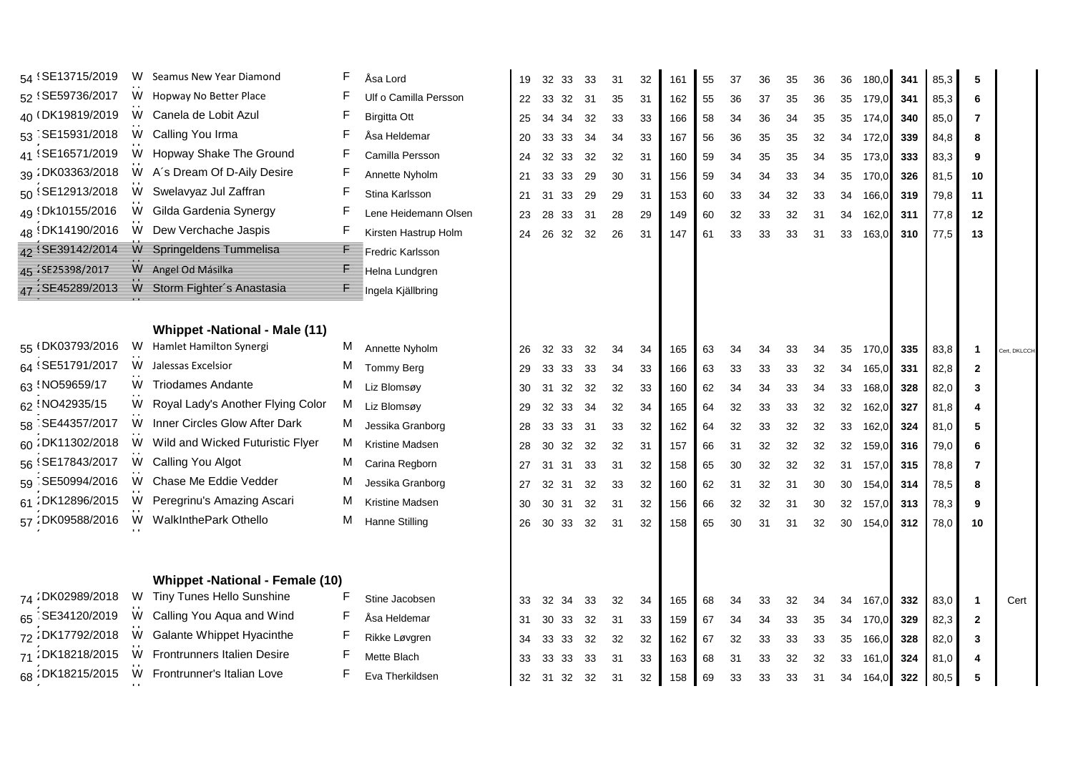| 54 (SE13715/2019) | W | Seamus New Year Diamond                      |              | Åsa Lord                | 19 | 32    | 33  | 33 | 31 | 32 | 161 | 55 | 37 | 36 | 35 | 36 | 36              | 180,0    | 341 | 85,3 | 5                       |              |
|-------------------|---|----------------------------------------------|--------------|-------------------------|----|-------|-----|----|----|----|-----|----|----|----|----|----|-----------------|----------|-----|------|-------------------------|--------------|
| 52 SE59736/2017   | W | Hopway No Better Place                       |              | Ulf o Camilla Persson   | 22 | 33    | 32  | 31 | 35 | 31 | 162 | 55 | 36 | 37 | 35 | 36 | 35              | 179,0    | 341 | 85,3 | 6                       |              |
| 40 (DK19819/2019) | W | Canela de Lobit Azul                         |              | <b>Birgitta Ott</b>     | 25 | 34    | 34  | 32 | 33 | 33 | 166 | 58 | 34 | 36 | 34 | 35 | 35              | 174,0    | 340 | 85,0 | 7                       |              |
| 53 SE15931/2018   | W | Calling You Irma                             |              | Åsa Heldemar            | 20 | 33    | 33  | 34 | 34 | 33 | 167 | 56 | 36 | 35 | 35 | 32 |                 | 34 172,0 | 339 | 84,8 | 8                       |              |
| 41 SE16571/2019   | W | Hopway Shake The Ground                      |              | Camilla Persson         | 24 | 32    | 33  | 32 | 32 | 31 | 160 | 59 | 34 | 35 | 35 | 34 | 35              | 173,0    | 333 | 83,3 | 9                       |              |
| 39 : DK03363/2018 |   | W A's Dream Of D-Aily Desire                 | F            | Annette Nyholm          | 21 | 33    | 33  | 29 | 30 | 31 | 156 | 59 | 34 | 34 | 33 | 34 | 35              | 170,0    | 326 | 81,5 | 10                      |              |
| 50 SE12913/2018   | W | Swelavyaz Jul Zaffran                        | F            | Stina Karlsson          | 21 | 31    | 33  | 29 | 29 | 31 | 153 | 60 | 33 | 34 | 32 | 33 |                 | 34 166,0 | 319 | 79,8 | 11                      |              |
| 49 (Dk10155/2016  | W | Gilda Gardenia Synergy                       |              | Lene Heidemann Olsen    | 23 | 28    | 33  | 31 | 28 | 29 | 149 | 60 | 32 | 33 | 32 | 31 | 34              | 162,0    | 311 | 77,8 | 12                      |              |
| 48 (DK14190/2016  |   | W Dew Verchache Jaspis                       | F            | Kirsten Hastrup Holm    | 24 | 26    | 32  | 32 | 26 | 31 | 147 | 61 | 33 | 33 | 33 | 31 | 33              | 163,0    | 310 | 77,5 | 13                      |              |
|                   |   | 42 SE39142/2014 W Springeldens Tummelisa     | F            | <b>Fredric Karlsson</b> |    |       |     |    |    |    |     |    |    |    |    |    |                 |          |     |      |                         |              |
| 45 / SE25398/2017 |   | W Angel Od Másilka                           | $\mathsf{F}$ | Helna Lundgren          |    |       |     |    |    |    |     |    |    |    |    |    |                 |          |     |      |                         |              |
|                   |   | 47 'SE45289/2013 W Storm Fighter's Anastasia | E            | Ingela Kjällbring       |    |       |     |    |    |    |     |    |    |    |    |    |                 |          |     |      |                         |              |
|                   |   |                                              |              |                         |    |       |     |    |    |    |     |    |    |    |    |    |                 |          |     |      |                         |              |
|                   |   | <b>Whippet -National - Male (11)</b>         |              |                         |    |       |     |    |    |    |     |    |    |    |    |    |                 |          |     |      |                         |              |
| 55 (DK03793/2016) |   | W Hamlet Hamilton Synergi                    |              | M Annette Nyholm        | 26 | 32    | -33 | 32 | 34 | 34 | 165 | 63 | 34 | 34 | 33 | 34 | 35              | 170,0    | 335 | 83,8 | $\mathbf{1}$            | Cert, DKLCCH |
| 64 SE51791/2017   | W | Jalessas Excelsior                           | м            | <b>Tommy Berg</b>       | 29 | 33    | 33  | 33 | 34 | 33 | 166 | 63 | 33 | 33 | 33 | 32 | 34              | 165,0    | 331 | 82,8 | $\mathbf{2}$            |              |
| 63 NO59659/17     | W | <b>Triodames Andante</b>                     | M            | Liz Blomsøy             | 30 | 31    | 32  | 32 | 32 | 33 | 160 | 62 | 34 | 34 | 33 | 34 | 33              | 168,0    | 328 | 82,0 | 3                       |              |
| 62 NO42935/15     | W | Royal Lady's Another Flying Color            | M            | Liz Blomsøy             | 29 | 32    | 33  | 34 | 32 | 34 | 165 | 64 | 32 | 33 | 33 | 32 | 32              | 162,0    | 327 | 81,8 | 4                       |              |
| 58 SE44357/2017   | W | Inner Circles Glow After Dark                | M            | Jessika Granborg        | 28 | 33    | 33  | 31 | 33 | 32 | 162 | 64 | 32 | 33 | 32 | 32 | 33              | 162,0    | 324 | 81,0 | 5                       |              |
| 60 DK11302/2018   | W | Wild and Wicked Futuristic Flyer             | M            | Kristine Madsen         | 28 | 30    | 32  | 32 | 32 | 31 | 157 | 66 | 31 | 32 | 32 | 32 | 32              | 159,0    | 316 | 79,0 | 6                       |              |
| 56 SE17843/2017   | W | Calling You Algot                            | М            | Carina Regborn          | 27 | 31    | 31  | 33 | 31 | 32 | 158 | 65 | 30 | 32 | 32 | 32 | 31              | 157,0    | 315 | 78,8 | 7                       |              |
| 59 SE50994/2016   | W | Chase Me Eddie Vedder                        | м            | Jessika Granborg        | 27 | 32    | 31  | 32 | 33 | 32 | 160 | 62 | 31 | 32 | 31 | 30 | 30 <sup>°</sup> | 154,0    | 314 | 78,5 | 8                       |              |
| 61:DK12896/2015   | W | Peregrinu's Amazing Ascari                   | м            | Kristine Madsen         | 30 | 30    | 31  | 32 | 31 | 32 | 156 | 66 | 32 | 32 | 31 | 30 | 32              | 157,0    | 313 | 78,3 | 9                       |              |
| 57 : DK09588/2016 | W | WalkInthePark Othello                        | М            | Hanne Stilling          | 26 | 30 33 |     | 32 | 31 | 32 | 158 | 65 | 30 | 31 | 31 | 32 |                 | 30 154,0 | 312 | 78,0 | 10                      |              |
|                   |   |                                              |              |                         |    |       |     |    |    |    |     |    |    |    |    |    |                 |          |     |      |                         |              |
|                   |   |                                              |              |                         |    |       |     |    |    |    |     |    |    |    |    |    |                 |          |     |      |                         |              |
|                   |   | <b>Whippet -National - Female (10)</b>       |              |                         |    |       |     |    |    |    |     |    |    |    |    |    |                 |          |     |      |                         |              |
| 74 DK02989/2018   |   | W Tiny Tunes Hello Sunshine                  | F            | Stine Jacobsen          | 33 | 32    | 34  | 33 | 32 | 34 | 165 | 68 | 34 | 33 | 32 | 34 | 34              | 167,0    | 332 | 83,0 | $\overline{\mathbf{1}}$ | Cert         |
| 65 SE34120/2019   | W | Calling You Aqua and Wind                    | F            | Åsa Heldemar            | 31 | 30    | 33  | 32 | 31 | 33 | 159 | 67 | 34 | 34 | 33 | 35 |                 | 34 170,0 | 329 | 82,3 | $\mathbf{2}$            |              |
| 72:DK17792/2018   | W | Galante Whippet Hyacinthe                    |              | Rikke Løvgren           | 34 | 33    | 33  | 32 | 32 | 32 | 162 | 67 | 32 | 33 | 33 | 33 | 35              | 166,0    | 328 | 82,0 | 3                       |              |
| 71:DK18218/2015   | W | <b>Frontrunners Italien Desire</b>           |              | Mette Blach             | 33 | 33    | 33  | 33 | 31 | 33 | 163 | 68 | 31 | 33 | 32 | 32 | 33              | 161,0    | 324 | 81,0 | 4                       |              |
| 68 DK18215/2015   |   | W Frontrunner's Italian Love                 | F            | Eva Therkildsen         | 32 | 31 32 |     | 32 | 31 | 32 | 158 | 69 | 33 | 33 | 33 | 31 |                 | 34 164,0 | 322 | 80,5 | 5                       |              |